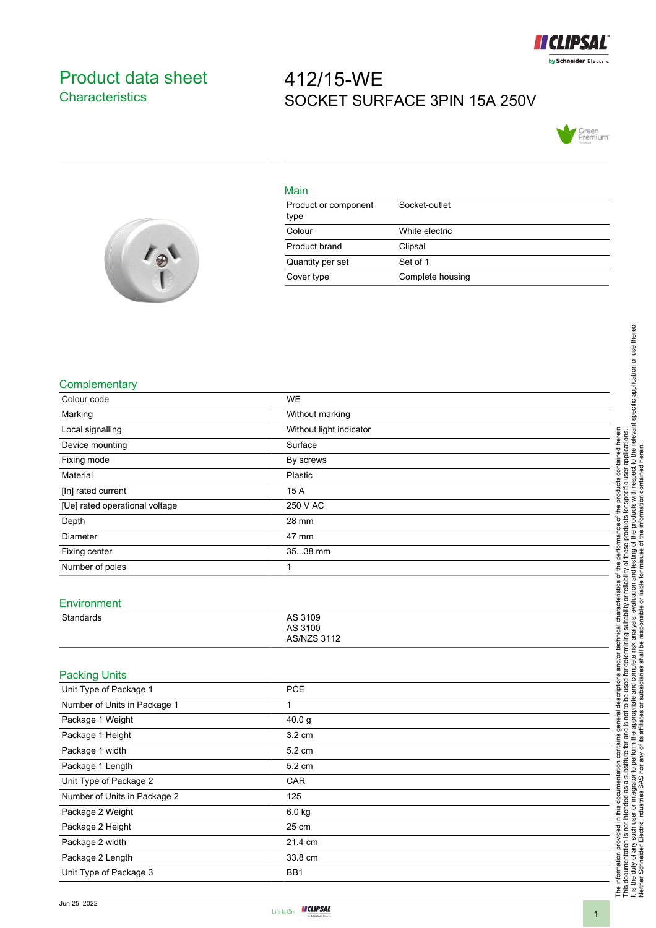

## <span id="page-0-0"></span>Product data sheet **Characteristics**

# 412/15-WE SOCKET SURFACE 3PIN 15A 250V





#### Main

| Product or component<br>type | Socket-outlet    |
|------------------------------|------------------|
| Colour                       | White electric   |
| Product brand                | Clipsal          |
| Quantity per set             | Set of 1         |
| Cover type                   | Complete housing |

#### **Complementary**

| Colour code                    | <b>WE</b>                     |
|--------------------------------|-------------------------------|
| Marking                        | Without marking               |
| Local signalling               | Without light indicator       |
| Device mounting                | Surface                       |
| Fixing mode                    | By screws                     |
| Material                       | Plastic                       |
| [In] rated current             | 15 A                          |
| [Ue] rated operational voltage | 250 V AC                      |
| Depth                          | 28 mm                         |
| Diameter                       | 47 mm                         |
| Fixing center                  | 3538 mm                       |
| Number of poles                | 1                             |
|                                |                               |
| Environment                    |                               |
| <b>Standards</b>               | AS 3109                       |
|                                | AS 3100<br><b>AS/NZS 3112</b> |
|                                |                               |
| <b>Packing Units</b>           |                               |
| Unit Type of Package 1         | <b>PCE</b>                    |
| Number of Units in Package 1   | $\mathbf{1}$                  |
| Package 1 Weight               | 40.0 g                        |
| Package 1 Height               | 3.2 cm                        |
| Package 1 width                | 5.2 cm                        |
| Package 1 Length               | 5.2 cm                        |
| Unit Type of Package 2         | CAR                           |
| Number of Units in Package 2   | 125                           |
| Package 2 Weight               | 6.0 kg                        |
| Package 2 Height               | 25 cm                         |
| Package 2 width                | 21.4 cm                       |
| Package 2 Length               | 33.8 cm                       |
| Unit Type of Package 3         | BB1                           |